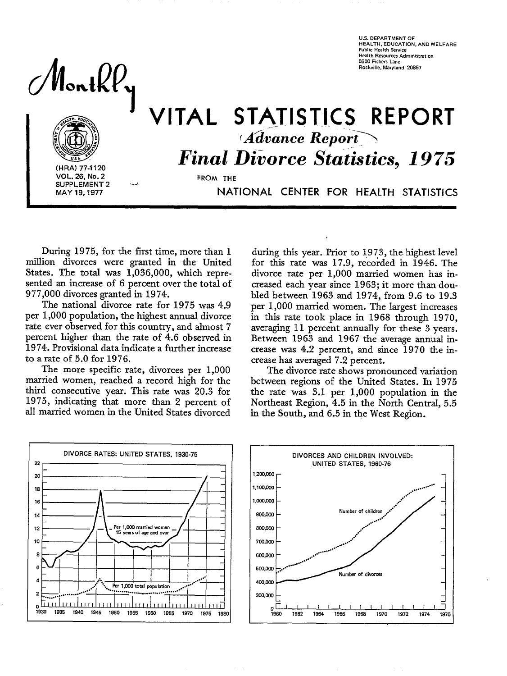**U.S. DEPARTMENT OF HEALTH, EOUCATION, AND WELFARE Public Health Service Health Resources Administration 5600 Fishers Lane Rockville, Maryland 20857** 

Nontkl



**(HRA) 77-1120 SUPPLEMENT 2**<br>**MAY 19, 1977** 

# *Advance Report* VITAL STATISTICS REPORT *Final Divorce Statistics, 1975*

**FROM THE** 

**MAY 19,1977** NATIONAL CENTER FOR HEALTH STATISTICS

During 1975, for the first time, more than 1 million divorces were granted in the United States. The total was 1,036,000, which represented an increase of 6 percent over the total of 977,000 divorces granted in 1974.

The national divorce rate for 1975 was 4.9 per 1,000 population, the highest annual divorce rate ever observed for this country, and almost 7 percent higher than the rate of 4.6 observed in 1974. Provisional data indicate a further increase to a rate of 5.0 for 1976.

The more specific rate, divorces per 1,000 married women, reached a record high for the third consecutive year. This rate was 20.3 for 1975, indicating that more than 2 percent of all married women in the United States divorced

during this year. Prior to 1973, the highest level for this rate was 17,9, recorded in 1946. The divorce rate per 1,000 married women has increased each year since 1963; it more than doubled between 1963 and 1974, from 9.6 to 19.3 per 1,000 married women. The largest increases in this rate took place in 1968 through 1970, averaging 11 percent annually for these 3 years. Between 1963 and 1967 the average annual increase was 4.2 percent, and since 1970 the increase has averaged 7.2 percent.

The divorce rate shows pronounced variation between regions of the United States. In 1975 the rate was 3.1 per 1,000 population in the Northeast Region, 4.5 in the North Central, 5.5 in the South, and 6.5 in the West Region.



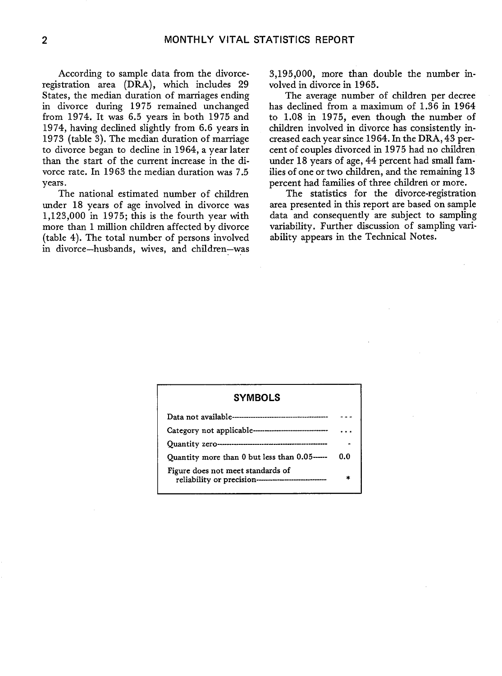According to sample data from the divorceregistration area (DRA), which includes 29 States, the median duration of marriages ending in divorce during 1975 remained unchanged from 1974. It was 6.5 years in both 1975 and 1974, having declined slightly from 6.6 years in 1973 (table 3). The median duration of marriage to divorce began to decline in 1964, a year later than the start of the current increase in the divorce rate. In 1963 the median duration was 7.5 years.

The national estimated number of children under 18 years of age involved in divorce was 1,123,000 in 1975; this is the fourth year with more than 1 million children affected by divorce (table 4). The total number of persons involved in divorce—husbands, wives, and children—was 3,195,000, more than double the number involved in divorce in 1965.

The average number of children per decree has declined from a maximum of 1.36 in 1964 to 1.08 in 1975, even though the number of children involved in divorce has consistently increased each year since 1964. In the DRA, 43 percent of couples divorced in 1975 had no children under 18 years of age, 44 percent had small families of one or two children, and the remaining 13 percent had families of three children or more.

The statistics for the divorce-registration area presented in this report are based on sample data and consequently are subject to sampling variability, Further discussion of sampling variability appears in the Technical Notes.

# **SYMBOLS**

| Category not applicable-------------------------------                                      |     |
|---------------------------------------------------------------------------------------------|-----|
|                                                                                             |     |
| Quantity more than 0 but less than 0.05-----                                                | 0.0 |
| Figure does not meet standards of<br>reliability or precision------------------------------ | ź.  |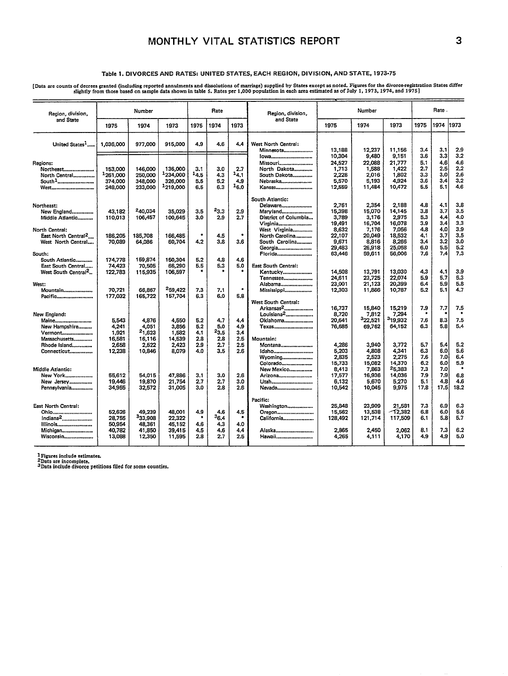# **MONTHLY VITAL STATISTICS REPORT 3**

#### Table 1. DIVORCES AND RATES: UNITED STATES, EACH REGION, DIVISION, AND STATE, 1973-75

Data are counts of decrees granted (including reported annuments and dissolutions of marriage) supplied by States except as noted. Figures for the divorce-registration States differences of Data included as of Data include

| Region, division,                                                                                                       | Number<br>Rate                                 |                                                 |                                                                    | Region, division,<br>and State        |                                  | Number                                |                                                                                                                                             | Rate.                                                                    |                                                                          |                                                                          |                                                      |                                                      |                                                      |
|-------------------------------------------------------------------------------------------------------------------------|------------------------------------------------|-------------------------------------------------|--------------------------------------------------------------------|---------------------------------------|----------------------------------|---------------------------------------|---------------------------------------------------------------------------------------------------------------------------------------------|--------------------------------------------------------------------------|--------------------------------------------------------------------------|--------------------------------------------------------------------------|------------------------------------------------------|------------------------------------------------------|------------------------------------------------------|
| and State                                                                                                               | 1975                                           | 1974                                            | 1973                                                               | 1975                                  | 1974                             | 1973                                  |                                                                                                                                             | 1975                                                                     | 1974                                                                     | 1973                                                                     | 1975                                                 | 1974                                                 | 1973                                                 |
| United States <sup>1</sup>                                                                                              | 1.036.000                                      | 977,000                                         | 915,000                                                            | 4.9                                   | 4.6                              | 4.4                                   | West North Central:<br>Minnesota                                                                                                            | 13,188                                                                   | 12,237                                                                   | 11,156                                                                   | 3.4                                                  | 3.1                                                  | 2.9                                                  |
| Regions:<br>Northeast<br>North Central<br>South <sup>1</sup><br>West                                                    | 153,000<br>1261,000<br>374,000<br>248.000      | 146,000<br>250,000<br>348,000<br>233,000        | 136,000<br><sup>1</sup> 234,000<br>326,000<br><sup>1</sup> 219,000 | 3.1<br>$-4.5$<br>5.5<br>6.5           | 3.0<br>4.3<br>5.2<br>6.3         | 2.7<br>14.1<br>4.9<br>16.0            | Iowa<br>Missouri<br>North Dakota<br>South Dakota<br>Nebraska<br>Kansas                                                                      | 10,304<br>24.527<br>1,713<br>2,228<br>5,570<br>12,559                    | 9.480<br>22.088<br>1,588<br>2,016<br>5,193<br>11,484                     | 9,151<br>21.777<br>1,422<br>1,802<br>4,924<br>10,472                     | 3.6<br>5.1<br>2.7<br>3.3<br>3.6<br>5.5               | 3.3<br>4.6<br>2.5<br>3.0<br>3.4<br>5.1               | 3.2<br>4.6<br>2.2<br>2.6<br>3,2<br>4,6               |
| Northeast:<br>New England<br>Middle Atlantic<br>North Central:<br>East North Central <sup>2</sup><br>West North Central | 43.182<br>110,013<br>186,205<br>70,089         | 240.034<br>106,457<br>185,708<br>64,086         | 35,029<br>100,645<br>166,485<br>60,704                             | 3.5<br>3.0<br>۰<br>4,2                | $^{23.3}$<br>2.9<br>4.5<br>3.8   | 2.9<br>2.7<br>٠<br>3.6                | South Atlantic:<br>Delaware<br>Maryland<br>District of Columbia<br>Virginia<br>West Virginia<br>North Carolina<br>South Carolina<br>Georgia | 2,761<br>15,398<br>3,789<br>19,491<br>8,632<br>22,107<br>9,671<br>29,483 | 2,354<br>15.070<br>3.176<br>16,704<br>7,176<br>20,049<br>8,816<br>26.918 | 2.188<br>14,145<br>2,975<br>16,078<br>7,056<br>18,532<br>8,266<br>25,058 | 4.8<br>3.8<br>5.3<br>3.9<br>4.8<br>4.1<br>3,4<br>6.0 | 4.1<br>3.7<br>4.4<br>3.4<br>4.0<br>3.7<br>3.2<br>5.5 | 3,8<br>3,5<br>4.0<br>3,3<br>3.9<br>3.5<br>3.0<br>5.2 |
| South:<br>South Atlantic<br>East South Central<br>West South Central <sup>2</sup>                                       | 174,778<br>74,423<br>122,783                   | 159.874<br>70,505<br>115,935                    | 150.304<br>66,290<br>106.597                                       | 5.2<br>5.5                            | 4.8<br>5.3                       | 4.6<br>5.0                            | Florida<br><b>East South Central:</b><br>Kentucky<br>Tennessee                                                                              | 63,446<br>14.508<br>24.611<br>23,001                                     | 59,611<br>13.791<br>23,725<br>21,123                                     | 56,006<br>13,030<br>22.074<br>20,399                                     | 7.6<br>4.3<br>5.9<br>6.4                             | 7.4<br>4.1<br>5.7<br>5.9                             | 7.3<br>3.9<br>5,3<br>5.8                             |
| West:<br>Mountain<br>Pacific                                                                                            | 70,721<br>177,032                              | 66.867<br>165,722                               | 259.422<br>157,704                                                 | 7.3<br>6.3                            | 7.1<br>6.0                       | ٠<br>5.8                              | Alabama<br>Mississippi<br>West South Central:                                                                                               | 12,303                                                                   | 11,866                                                                   | 10,787                                                                   | 5.2                                                  | 5.1                                                  | 4.7                                                  |
| New England:<br>Maine<br>New Hampshire<br>Vermont<br>Massachusetts                                                      | 5,543<br>4,241<br>1,921<br>16,581              | 4,876<br>4,051<br>21,623<br>16,116              | 4,550<br>3.856<br>1.582<br>14,539                                  | 5.2<br>5.2<br>4.1<br>2.8              | 4.7<br>5.0<br>$^{23.5}$<br>2.8   | 4.4<br>4.9<br>3.4<br>2.5              | Arkansas <sup>2</sup><br>Louisiana <sup>2</sup><br>Oklahoma<br>Texas<br>Mountain:                                                           | 16,737<br>8,720<br>20,641<br>76,685                                      | 15,840<br>7,812<br>322,521<br>69,762                                     | 15,219<br>7,294<br>319,932<br>64,152                                     | 7.9<br>7.6<br>6.3                                    | 7.7<br>8.3<br>5.8                                    | 7,5<br>7.5<br>5.4                                    |
| Rhode Island<br>Connecticut                                                                                             | 2,658<br>12,238                                | 2.522<br>10,846                                 | 2,423<br>8.079                                                     | 2.9<br>4.0                            | 2.7<br>3.5                       | 2.5<br>2.6                            | Montana<br>Idaho<br>Wyoming<br>Colorado                                                                                                     | 4,286<br>5,203<br>2,835<br>15,733                                        | 3,940<br>4,808<br>2,523<br>15,082                                        | 3,772<br>4,341<br>2,275<br>14,370                                        | 5.7<br>6.3<br>7.6<br>6.2                             | 5.4<br>6.0<br>7.0<br>6.0                             | 5.2<br>5.6<br>6.4<br>5,9                             |
| Middle Atlantic:<br>New York<br>New Jersey<br>Pennsylvania                                                              | 55,612<br>19.446<br>34,955                     | 54.015<br>19.870<br>32,572                      | 47,886<br>21.754<br>31,005                                         | 3,1<br>2.7<br>3.0                     | 3.0<br>2.7<br>2.8                | 2.6<br>3.0<br>2.6                     | New Mexico<br>Arizona<br>Utah<br>Nevada                                                                                                     | 8,413<br>17.577<br>6,132<br>10,542                                       | 7,863<br>16,936<br>5,670<br>10,045                                       | 25,383<br>14,036<br>5.270<br>9,975                                       | 7.3<br>7.9<br>5.1<br>17.8                            | 7.0<br>7,9<br>4.8<br>17.5                            | 6.8<br>4.6<br>18.2                                   |
| East North Central:<br>Ohio<br>$Indiana2$<br>Illinois<br>Michigan<br>Wisconsin                                          | 52,626<br>28,755<br>50,954<br>40.782<br>13,088 | 49,239<br>333,908<br>48.361<br>41,850<br>12.350 | 48,001<br>22,322<br>45.152<br>39,415<br>11,595                     | 4,9<br>$\bullet$<br>4.6<br>4.5<br>2.8 | 4.6<br>36.4<br>4.3<br>4.6<br>2.7 | 4,5<br>$\bullet$<br>4.0<br>4,4<br>2.5 | Pacific:<br>Washington<br>Oregon<br>California<br>Alaska<br>Hawaii                                                                          | 25,848<br>15,562<br>128,492<br>2.865<br>4.265                            | 23,909<br>13,538<br>121,714<br>2,450<br>4.111                            | 21,581<br>-12,382<br>117,509<br>2,062<br>4,170                           | 7,3<br>6.8<br>6.1<br>8.1<br>4.9                      | 6.9<br>6.0<br>5.8<br>7,3<br>4.9                      | 6.3<br>5.6<br>5.7<br>6,2<br>5,0                      |

<sup>1</sup> Figures include estimates.<br><sup>2</sup>Data are incomplete.<br><sup>3</sup>Data include divorce petitions filed for some counties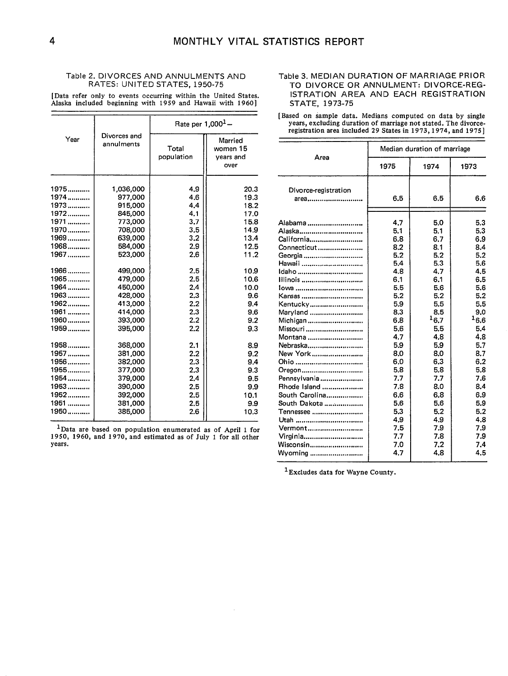#### Table 2. DIVORCES AND ANNULMENTS AND RATES: UNITED STATES, 1950-75

[Data refer only to events occurring within the United States. Alaska included beginning with 1959 and Hawaii with 1960 ]

|        |                            | Rate per $1,000^1 -$ |                                          |  |  |  |
|--------|----------------------------|----------------------|------------------------------------------|--|--|--|
| Year   | Divorces and<br>annulments | Total<br>population  | Married<br>women 15<br>years and<br>over |  |  |  |
| 1975   | 1,036,000                  | 4.9                  | 20.3                                     |  |  |  |
| $1974$ | 977,000                    | 4.6                  | 19.3                                     |  |  |  |
| 1973   | 915,000                    | 4.4                  | 18.2                                     |  |  |  |
| 1972   | 845,000                    | 4.1                  | 17.0                                     |  |  |  |
| 1971   | 773,000                    | 3.7                  | 15.8                                     |  |  |  |
| 1970   | 708,000                    | 3.5                  | 14.9                                     |  |  |  |
| 1969   | 639,000                    | 3.2                  | 13.4                                     |  |  |  |
| 1968   | 584,000                    | 2.9                  | 12.5                                     |  |  |  |
| 1967   | 523,000                    | 2.6                  | 11.2                                     |  |  |  |
| 1966   | 499,000                    | 2.5                  | 10.9                                     |  |  |  |
| 1965   | 479.000                    | 2.5                  | 10.6                                     |  |  |  |
| 1964   | 450.000                    | 2.4                  | 10.0                                     |  |  |  |
| 1963   | 428.000                    | 2.3                  | 9.6                                      |  |  |  |
| 1962   | 413,000                    | 2.2                  | 9.4                                      |  |  |  |
| 1961   | 414,000                    | 2.3                  | 9.6                                      |  |  |  |
| 1960   | 393,000                    | 2.2                  | 9.2                                      |  |  |  |
| 1959   | 395,000                    | 2.2                  | 9.3                                      |  |  |  |
| 1958   | 368,000                    | 2.1                  | 8.9                                      |  |  |  |
| 1957   | 381,000                    | 2.2                  | 9.2                                      |  |  |  |
| 1956   | 382,000                    | 2.3                  | 9.4                                      |  |  |  |
| 1955   | 377,000                    | 2.3                  | 9.3                                      |  |  |  |
| 1954   | 379,000                    | 2.4                  | 9.5                                      |  |  |  |
| $1953$ | 390,000                    | 2.5                  | 9.9                                      |  |  |  |
| 1952   | 392,000                    | 2.5                  | 10.1                                     |  |  |  |
| 1951   | 381,000                    | 2.5                  | 9.9                                      |  |  |  |
| 1950   | 385,000                    | 2.6                  | 10.3                                     |  |  |  |

 $1$ Data are based on population enumerated as of April 1 for 1950, 1960, and 1970, and estimated as of July 1 for all other years.

#### Table 3. MEDIAN DURATION OF MARRIAGE PRIOR TO DIVORCE OR ANNULMENT: DIVORCE-REG-ISTRATION AREA AND EACH REGISTRATION STATE, 1973-75

[Based on sample data. Medians computed on data by single years, excluding duration of marriage not stated. The divorceregistration area included 29 States in 1973, 1974, and 1975]

| Area                                                                                                                                                                                                                                                                                                                                                    | Median duration of marriage                                                                                                                                                                             |                                                                                                                                                                                                          |                                                                                                                                                                                                               |  |  |  |
|---------------------------------------------------------------------------------------------------------------------------------------------------------------------------------------------------------------------------------------------------------------------------------------------------------------------------------------------------------|---------------------------------------------------------------------------------------------------------------------------------------------------------------------------------------------------------|----------------------------------------------------------------------------------------------------------------------------------------------------------------------------------------------------------|---------------------------------------------------------------------------------------------------------------------------------------------------------------------------------------------------------------|--|--|--|
|                                                                                                                                                                                                                                                                                                                                                         | 1975                                                                                                                                                                                                    | 1974                                                                                                                                                                                                     | 1973                                                                                                                                                                                                          |  |  |  |
| Divorce-registration<br>area                                                                                                                                                                                                                                                                                                                            | 6.5                                                                                                                                                                                                     | 6.5                                                                                                                                                                                                      | 6.6                                                                                                                                                                                                           |  |  |  |
| Alabama<br>Alaska<br>California<br>Connecticut<br>Georgia<br>Hawaii<br>Idaho<br>Illinois<br>$Iowa$<br>Kansas<br>Kentucky<br>Maryland<br>Michigan<br>Missouri<br>Montana<br>Nebraska<br>New York<br>Ohio<br>Oregon<br>Pennsylvania<br>Rhode Island<br>South Carolina<br>South Dakota<br>Tennessee<br>Utah<br>Vermont<br>Virginia<br>Wisconsin<br>Wyoming | 4,7<br>5.1<br>6.8<br>8.2<br>5.2<br>5.4<br>4.8<br>6.1<br>5.5<br>5.2<br>5.9<br>8.3<br>6.8<br>5.6<br>4.7<br>5.9<br>8.0<br>6.0<br>5.8<br>7.7<br>7.8<br>6.6<br>5.6<br>5.3<br>4.9<br>7.5<br>7.7<br>7.0<br>4.7 | 5.0<br>5.1<br>6.7<br>8.1<br>5.2<br>5.3<br>4.7<br>6.1<br>5.6<br>5.2<br>5.5<br>8.5<br>16.7<br>5.5<br>4.8<br>5.9<br>8.0<br>6.3<br>5.8<br>7.7<br>8.0<br>6.8<br>5.6<br>5.2<br>4.9<br>7.9<br>7.8<br>7.2<br>4.8 | 5.3<br>5.3<br>6.9<br>8.4<br>5.2<br>5.6<br>4.5<br>6.5<br>5.6<br>5.2<br>5.5<br>9.0<br>$^{16.6}$<br>5.4<br>4.8<br>5.7<br>8.7<br>6.2<br>5.8<br>7.6<br>8.4<br>6.9<br>5.9<br>5.2<br>4.8<br>7.9<br>7.9<br>7.4<br>4.5 |  |  |  |

1Excludes data for Wayne County.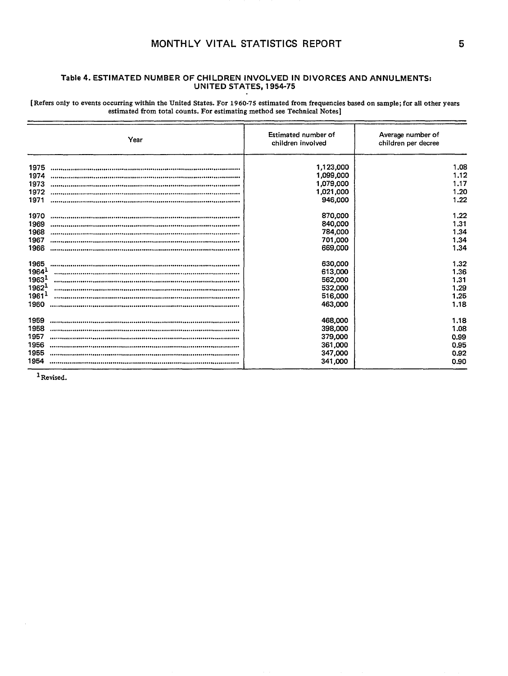# MONTHLY VITAL STATISTICS REPORT

[Refers only to events occurring within the United States. For 1960-75 estimated from frequencies based on sample; for all other years estimated from total counts. For estimating method see Technical Notes]

|                   | Year | Estimated number of<br>children involved | Average number of<br>children per decree |
|-------------------|------|------------------------------------------|------------------------------------------|
| 1975              |      | 1,123,000                                | 1.08                                     |
| 1974              |      | 1,099,000                                | 1.12                                     |
| 1973              |      | 1,079,000                                | 1.17                                     |
| 1972              |      | 1,021,000                                | 1.20                                     |
| 1971              |      | 946,000                                  | 1.22                                     |
| 1970              |      | 870,000                                  | 1.22                                     |
| 1969              |      | 840,000                                  | 1.31                                     |
| 1968              |      | 784,000                                  | 1.34                                     |
| 1967              |      | 701,000                                  | 1.34                                     |
| 1966              |      | 669,000                                  | 1.34                                     |
| 1965              |      | 630,000                                  | 1.32                                     |
| 1964 <sup>1</sup> |      | 613,000                                  | 1.36                                     |
| 1963 <sup>1</sup> |      | 562,000                                  | 1.31                                     |
| 1962 <sup>1</sup> |      | 532,000                                  | 1.29                                     |
| 1961 <sup>1</sup> |      | 516,000                                  | 1,25                                     |
| 1960              |      | 463,000                                  | 1.18                                     |
| 1959              |      | 468,000                                  | 1.18                                     |
| 1958              |      | 398,000                                  | 1.08                                     |
| 1957              |      | 379,000                                  | 0.99                                     |
| 1956              |      | 361,000                                  | 0.95                                     |
| 1955              |      | 347,000                                  | 0.92                                     |
| 1954              |      | 341,000                                  | 0.90                                     |

<sup>1</sup> Revised.

 $\mathcal{L}_{\mathcal{L}}$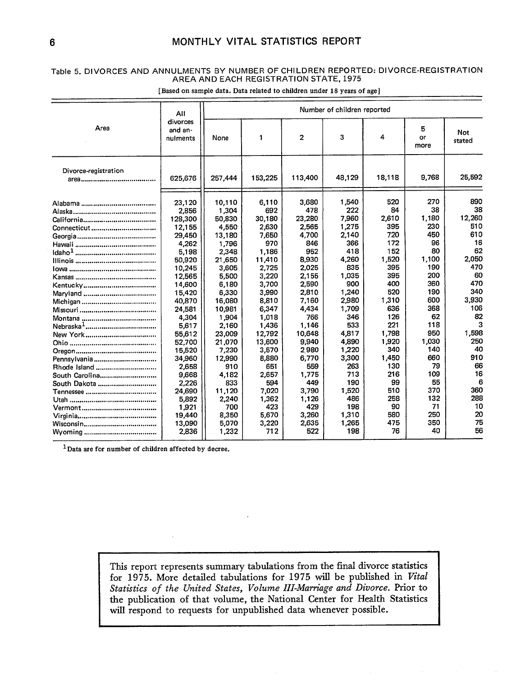## **Table 5. DIVORCES AND ANNULMENTS BY NUMBER OF CHILDREN REPORTED: DIVORCE-REGISTRATION AREA AND EACH REGISTRATION STATE, 1975**

|                                                                                                                                     | All                                                                                                                                                                                                                | Number of children reported                                                                                                                                                                               |                                                                                                                                                                                                  |                                                                                                                                                                                           |                                                                                                                                                                                  |                                                                                                                                                                   |                                                                                                                                                         |                                                                                                                                                       |  |
|-------------------------------------------------------------------------------------------------------------------------------------|--------------------------------------------------------------------------------------------------------------------------------------------------------------------------------------------------------------------|-----------------------------------------------------------------------------------------------------------------------------------------------------------------------------------------------------------|--------------------------------------------------------------------------------------------------------------------------------------------------------------------------------------------------|-------------------------------------------------------------------------------------------------------------------------------------------------------------------------------------------|----------------------------------------------------------------------------------------------------------------------------------------------------------------------------------|-------------------------------------------------------------------------------------------------------------------------------------------------------------------|---------------------------------------------------------------------------------------------------------------------------------------------------------|-------------------------------------------------------------------------------------------------------------------------------------------------------|--|
| Area                                                                                                                                | divorces<br>and an-<br>nulments                                                                                                                                                                                    | None                                                                                                                                                                                                      | 1                                                                                                                                                                                                | $\overline{2}$                                                                                                                                                                            | 3                                                                                                                                                                                | 4                                                                                                                                                                 | 5<br>or<br>more                                                                                                                                         | Not<br>stated                                                                                                                                         |  |
| Divorce-registration                                                                                                                | 625,676                                                                                                                                                                                                            | 257,444                                                                                                                                                                                                   | 153,225                                                                                                                                                                                          | 113,400                                                                                                                                                                                   | 48,129                                                                                                                                                                           | 18,118                                                                                                                                                            | 9,768                                                                                                                                                   | 25,592                                                                                                                                                |  |
| Alaska……………………………………<br>Connecticut<br><u>lilinois ……………………………………</u><br>New York<br>Pennsylvania<br>Rhode Island<br>South Carolina | 23.120<br>2,856<br>128,300<br>12,155<br>29,450<br>4.262<br>5,198<br>50,920<br>10,245<br>12,565<br>14,600<br>15,420<br>40,870<br>24,581<br>4,304<br>5,617<br>55,612<br>52,700<br>15,520<br>34,960<br>2,658<br>9.668 | 10,110<br>1,304<br>50.830<br>4,550<br>13,180<br>1.796<br>2,348<br>21,650<br>3,605<br>5,500<br>6,180<br>6,330<br>16,080<br>10,981<br>1,904<br>2.160<br>23.009<br>21,070<br>7,230<br>12,990<br>910<br>4,182 | 6.110<br>692<br>30,180<br>2,630<br>7.650<br>970<br>1.186<br>11,410<br>2,725<br>3,220<br>3,700<br>3,990<br>8,810<br>6,347<br>1.018<br>1,436<br>12.792<br>13,600<br>3,570<br>8,880<br>651<br>2,657 | 3,680<br>478<br>23.280<br>2,565<br>4,700<br>846<br>952<br>8,930<br>2.025<br>2.155<br>2,590<br>2.810<br>7,160<br>4.434<br>766<br>1,146<br>10.648<br>9,940<br>2980<br>6,770<br>559<br>1,775 | 1,540<br>222<br>7,960<br>1,275<br>2.140<br>366<br>418<br>4,260<br>835<br>1,035<br>900<br>1,240<br>2,980<br>1.709<br>346<br>533<br>4,817<br>4,890<br>1,220<br>3,300<br>263<br>713 | 520<br>84<br>2,610<br>395<br>720<br>172<br>152<br>1,520<br>395<br>395<br>400<br>520<br>1,310<br>636<br>126<br>221<br>1.798<br>1,920<br>340<br>1,450<br>130<br>216 | 270<br>38<br>1.180<br>230<br>450<br>96<br>80<br>1,100<br>190<br>200<br>360<br>190<br>600<br>368<br>62<br>118<br>950<br>1,030<br>140<br>660<br>79<br>109 | 890<br>38<br>12,260<br>510<br>610<br>16<br>62<br>2,050<br>470<br>60<br>470<br>340<br>3.930<br>106<br>82<br>3<br>1,598<br>250<br>40<br>910<br>66<br>16 |  |
| South Dakota                                                                                                                        | 2,226<br>24.690<br>5,892<br>1,921<br>19,440<br>13,090<br>2,836                                                                                                                                                     | 833<br>11,120<br>2,240<br>700<br>8,350<br>5,070<br>1,232                                                                                                                                                  | 594<br>7.020<br>1,362<br>423<br>5.670<br>3,220<br>712                                                                                                                                            | 449<br>3.790<br>1.126<br>429<br>3,260<br>2,635<br>522                                                                                                                                     | 190<br>1.520<br>486<br>198<br>1,310<br>1,265<br>198                                                                                                                              | 99<br>510<br>258<br>90<br>580<br>475<br>76                                                                                                                        | 55<br>370<br>132<br>71<br>250<br>350<br>40                                                                                                              | 6<br>360<br>288<br>10<br>20<br>75<br>56                                                                                                               |  |

[Based on sample data. Data related to children under 18 years of age]

<sup>1</sup> Data are for number of children affected by decree.

This report represents summary tabulations from the final divorce statistics for 1975. More detailed tabulations for 1975 will be published in Vital *Statistics of the United States, Volume III-Marriage* and *Divorce.* Prior to the publication of that volume, the National Center for Health Statistics will respond to requests for unpublished data whenever possible.